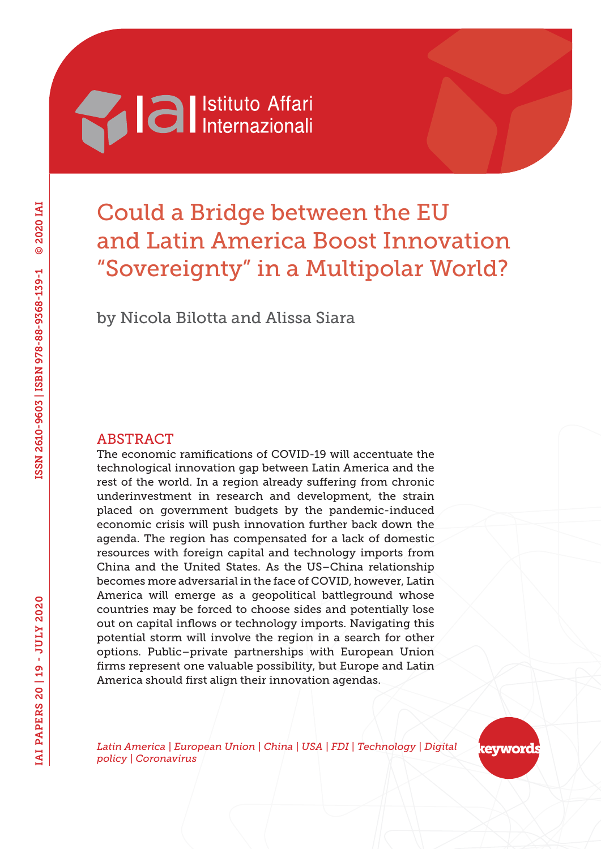# **Machiana** Istituto Affari

# Could a Bridge between the EU and Latin America Boost Innovation "Sovereignty" in a Multipolar World?

by Nicola Bilotta and Alissa Siara

## ABSTRACT

The economic ramifications of COVID-19 will accentuate the technological innovation gap between Latin America and the rest of the world. In a region already suffering from chronic underinvestment in research and development, the strain placed on government budgets by the pandemic-induced economic crisis will push innovation further back down the agenda. The region has compensated for a lack of domestic resources with foreign capital and technology imports from China and the United States. As the US–China relationship becomes more adversarial in the face of COVID, however, Latin America will emerge as a geopolitical battleground whose countries may be forced to choose sides and potentially lose out on capital inflows or technology imports. Navigating this potential storm will involve the region in a search for other options. Public–private partnerships with European Union firms represent one valuable possibility, but Europe and Latin America should first align their innovation agendas.

*Latin America | European Union | China | USA | FDI | Technology | Digital policy | Coronavirus*

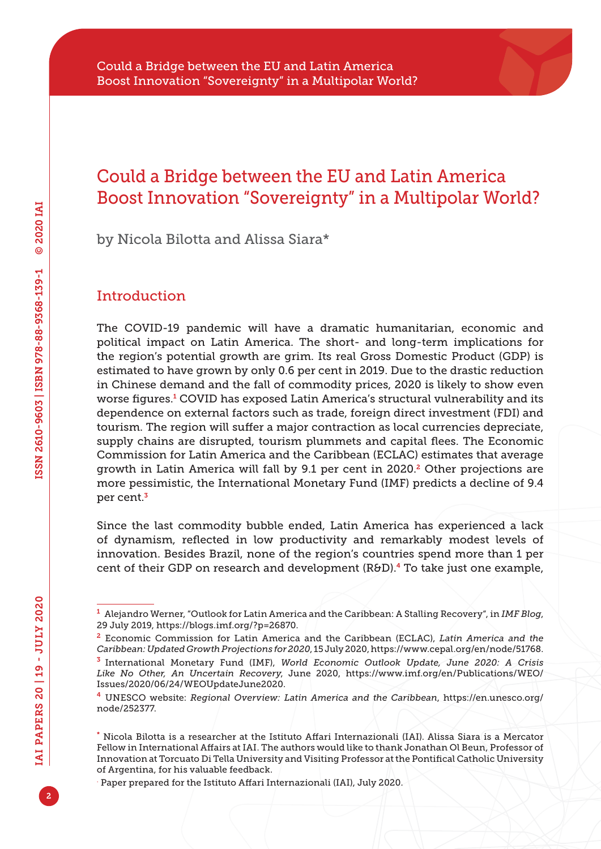by Nicola Bilotta and Alissa Siara\*

# **Introduction**

The COVID-19 pandemic will have a dramatic humanitarian, economic and political impact on Latin America. The short- and long-term implications for the region's potential growth are grim. Its real Gross Domestic Product (GDP) is estimated to have grown by only 0.6 per cent in 2019. Due to the drastic reduction in Chinese demand and the fall of commodity prices, 2020 is likely to show even worse figures.<sup>1</sup> COVID has exposed Latin America's structural vulnerability and its dependence on external factors such as trade, foreign direct investment (FDI) and tourism. The region will suffer a major contraction as local currencies depreciate, supply chains are disrupted, tourism plummets and capital flees. The Economic Commission for Latin America and the Caribbean (ECLAC) estimates that average growth in Latin America will fall by 9.1 per cent in 2020.2 Other projections are more pessimistic, the International Monetary Fund (IMF) predicts a decline of 9.4 per cent.<sup>3</sup>

Since the last commodity bubble ended, Latin America has experienced a lack of dynamism, reflected in low productivity and remarkably modest levels of innovation. Besides Brazil, none of the region's countries spend more than 1 per cent of their GDP on research and development (R&D).4 To take just one example,

2

.

<sup>1</sup> Alejandro Werner, "Outlook for Latin America and the Caribbean: A Stalling Recovery", in *IMF Blog*, 29 July 2019, [https://blogs.imf.org/?p=26870.](https://blogs.imf.org/?p=26870)

<sup>2</sup> Economic Commission for Latin America and the Caribbean (ECLAC), *Latin America and the Caribbean: Updated Growth Projections for 2020*, 15 July 2020,<https://www.cepal.org/en/node/51768>.

<sup>3</sup> International Monetary Fund (IMF), *World Economic Outlook Update, June 2020: A Crisis Like No Other, An Uncertain Recovery*, June 2020, [https://www.imf.org/en/Publications/WEO/](https://www.imf.org/en/Publications/WEO/Issues/2020/06/24/WEOUpdateJune2020) [Issues/2020/06/24/WEOUpdateJune2020.](https://www.imf.org/en/Publications/WEO/Issues/2020/06/24/WEOUpdateJune2020)

<sup>4</sup> UNESCO website: *Regional Overview: Latin America and the Caribbean*, [https://en.unesco.org/](https://en.unesco.org/node/252377) [node/252377.](https://en.unesco.org/node/252377)

<sup>\*</sup> Nicola Bilotta is a researcher at the Istituto Affari Internazionali (IAI). Alissa Siara is a Mercator Fellow in International Affairs at IAI. The authors would like to thank Jonathan Ol Beun, Professor of Innovation at Torcuato Di Tella University and Visiting Professor at the Pontifical Catholic University of Argentina, for his valuable feedback.

Paper prepared for the Istituto Affari Internazionali (IAI), July 2020.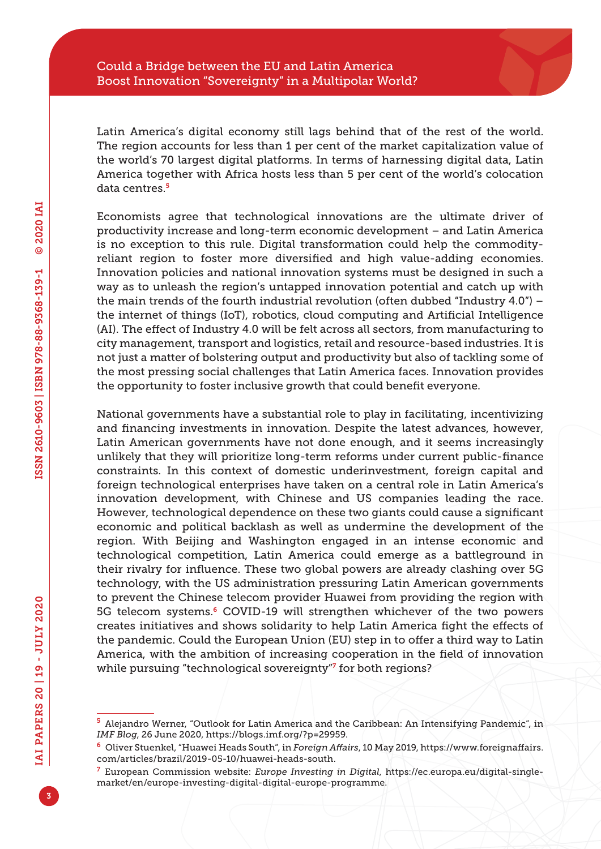Latin America's digital economy still lags behind that of the rest of the world. The region accounts for less than 1 per cent of the market capitalization value of the world's 70 largest digital platforms. In terms of harnessing digital data, Latin America together with Africa hosts less than 5 per cent of the world's colocation data centres.<sup>5</sup>

Economists agree that technological innovations are the ultimate driver of productivity increase and long-term economic development – and Latin America is no exception to this rule. Digital transformation could help the commodityreliant region to foster more diversified and high value-adding economies. Innovation policies and national innovation systems must be designed in such a way as to unleash the region's untapped innovation potential and catch up with the main trends of the fourth industrial revolution (often dubbed "Industry 4.0") – the internet of things (IoT), robotics, cloud computing and Artificial Intelligence (AI). The effect of Industry 4.0 will be felt across all sectors, from manufacturing to city management, transport and logistics, retail and resource-based industries. It is not just a matter of bolstering output and productivity but also of tackling some of the most pressing social challenges that Latin America faces. Innovation provides the opportunity to foster inclusive growth that could benefit everyone.

National governments have a substantial role to play in facilitating, incentivizing and financing investments in innovation. Despite the latest advances, however, Latin American governments have not done enough, and it seems increasingly unlikely that they will prioritize long-term reforms under current public-finance constraints. In this context of domestic underinvestment, foreign capital and foreign technological enterprises have taken on a central role in Latin America's innovation development, with Chinese and US companies leading the race. However, technological dependence on these two giants could cause a significant economic and political backlash as well as undermine the development of the region. With Beijing and Washington engaged in an intense economic and technological competition, Latin America could emerge as a battleground in their rivalry for influence. These two global powers are already clashing over 5G technology, with the US administration pressuring Latin American governments to prevent the Chinese telecom provider Huawei from providing the region with 5G telecom systems.<sup>6</sup> COVID-19 will strengthen whichever of the two powers creates initiatives and shows solidarity to help Latin America fight the effects of the pandemic. Could the European Union (EU) step in to offer a third way to Latin America, with the ambition of increasing cooperation in the field of innovation while pursuing "technological sovereignty"<sup>7</sup> for both regions?

<sup>5</sup> Alejandro Werner, "Outlook for Latin America and the Caribbean: An Intensifying Pandemic", in *IMF Blog*, 26 June 2020, [https://blogs.imf.org/?p=29959.](https://blogs.imf.org/?p=29959)

<sup>6</sup> Oliver Stuenkel, "Huawei Heads South", in *Foreign Affairs*, 10 May 2019, [https://www.foreignaffairs.](https://www.foreignaffairs.com/articles/brazil/2019-05-10/huawei-heads-south) [com/articles/brazil/2019-05-10/huawei-heads-south](https://www.foreignaffairs.com/articles/brazil/2019-05-10/huawei-heads-south).

<sup>7</sup> European Commission website: *Europe Investing in Digital*, [https://ec.europa.eu/digital-single](https://ec.europa.eu/digital-single-market/en/europe-investing-digital-digital-europe-programme)[market/en/europe-investing-digital-digital-europe-programme](https://ec.europa.eu/digital-single-market/en/europe-investing-digital-digital-europe-programme).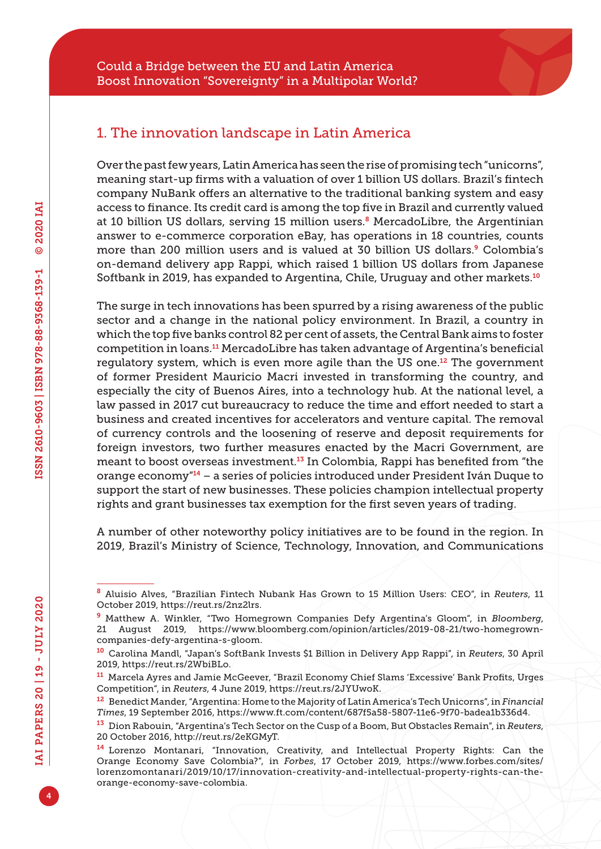# 1. The innovation landscape in Latin America

Over the past few years, Latin America has seen the rise of promising tech "unicorns", meaning start-up firms with a valuation of over 1 billion US dollars. Brazil's fintech company NuBank offers an alternative to the traditional banking system and easy access to finance. Its credit card is among the top five in Brazil and currently valued at 10 billion US dollars, serving 15 million users.<sup>8</sup> MercadoLibre, the Argentinian answer to e-commerce corporation eBay, has operations in 18 countries, counts more than 200 million users and is valued at 30 billion US dollars.9 Colombia's on-demand delivery app Rappi, which raised 1 billion US dollars from Japanese Softbank in 2019, has expanded to Argentina, Chile, Uruguay and other markets.<sup>10</sup>

The surge in tech innovations has been spurred by a rising awareness of the public sector and a change in the national policy environment. In Brazil, a country in which the top five banks control 82 per cent of assets, the Central Bank aims to foster competition in loans.11 MercadoLibre has taken advantage of Argentina's beneficial regulatory system, which is even more agile than the US one.<sup>12</sup> The government of former President Mauricio Macri invested in transforming the country, and especially the city of Buenos Aires, into a technology hub. At the national level, a law passed in 2017 cut bureaucracy to reduce the time and effort needed to start a business and created incentives for accelerators and venture capital. The removal of currency controls and the loosening of reserve and deposit requirements for foreign investors, two further measures enacted by the Macri Government, are meant to boost overseas investment.13 In Colombia, Rappi has benefited from "the orange economy"14 – a series of policies introduced under President Iván Duque to support the start of new businesses. These policies champion intellectual property rights and grant businesses tax exemption for the first seven years of trading.

A number of other noteworthy policy initiatives are to be found in the region. In 2019, Brazil's Ministry of Science, Technology, Innovation, and Communications

<sup>8</sup> Aluisio Alves, "Brazilian Fintech Nubank Has Grown to 15 Million Users: CEO", in *Reuters*, 11 October 2019,<https://reut.rs/2nz2lrs>.

<sup>9</sup> Matthew A. Winkler, "Two Homegrown Companies Defy Argentina's Gloom", in *Bloomberg*, 21 August 2019, [https://www.bloomberg.com/opinion/articles/2019-08-21/two-homegrown](https://www.bloomberg.com/opinion/articles/2019-08-21/two-homegrown-companies-defy-argentina-s-gloom)[companies-defy-argentina-s-gloom.](https://www.bloomberg.com/opinion/articles/2019-08-21/two-homegrown-companies-defy-argentina-s-gloom)

<sup>10</sup> Carolina Mandl, "Japan's SoftBank Invests \$1 Billion in Delivery App Rappi", in *Reuters*, 30 April 2019, [https://reut.rs/2WbiBLo.](https://reut.rs/2WbiBLo)

<sup>11</sup> Marcela Ayres and Jamie McGeever, "Brazil Economy Chief Slams 'Excessive' Bank Profits, Urges Competition", in *Reuters*, 4 June 2019, [https://reut.rs/2JYUwoK.](https://reut.rs/2JYUwoK)

<sup>12</sup> Benedict Mander, "Argentina: Home to the Majority of Latin America's Tech Unicorns", in *Financial Times*, 19 September 2016,<https://www.ft.com/content/687f5a58-5807-11e6-9f70-badea1b336d4>.

<sup>13</sup> Dion Rabouin, "Argentina's Tech Sector on the Cusp of a Boom, But Obstacles Remain", in *Reuters*, 20 October 2016, [http://reut.rs/2eKGMyT.](http://reut.rs/2eKGMyT)

<sup>14</sup> Lorenzo Montanari, "Innovation, Creativity, and Intellectual Property Rights: Can the Orange Economy Save Colombia?", in *Forbes*, 17 October 2019, [https://www.forbes.com/sites/](https://www.forbes.com/sites/lorenzomontanari/2019/10/17/innovation-creativity-and-intellectual-property-rights-can-the-orange-economy-save-colombia) [lorenzomontanari/2019/10/17/innovation-creativity-and-intellectual-property-rights-can-the](https://www.forbes.com/sites/lorenzomontanari/2019/10/17/innovation-creativity-and-intellectual-property-rights-can-the-orange-economy-save-colombia)[orange-economy-save-colombia.](https://www.forbes.com/sites/lorenzomontanari/2019/10/17/innovation-creativity-and-intellectual-property-rights-can-the-orange-economy-save-colombia)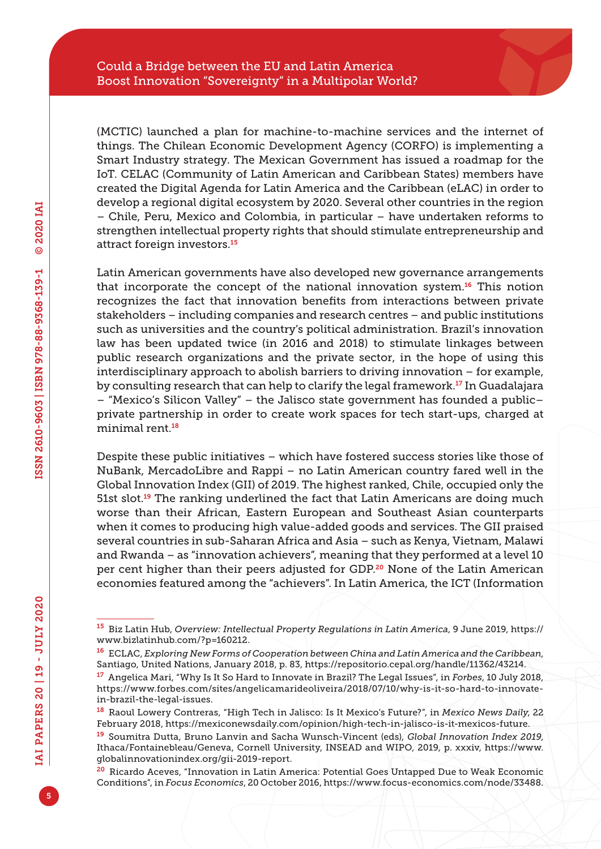(MCTIC) launched a plan for machine-to-machine services and the internet of things. The Chilean Economic Development Agency (CORFO) is implementing a Smart Industry strategy. The Mexican Government has issued a roadmap for the IoT. CELAC (Community of Latin American and Caribbean States) members have created the Digital Agenda for Latin America and the Caribbean (eLAC) in order to develop a regional digital ecosystem by 2020. Several other countries in the region – Chile, Peru, Mexico and Colombia, in particular – have undertaken reforms to strengthen intellectual property rights that should stimulate entrepreneurship and attract foreign investors.<sup>15</sup>

Latin American governments have also developed new governance arrangements that incorporate the concept of the national innovation system.16 This notion recognizes the fact that innovation benefits from interactions between private stakeholders – including companies and research centres – and public institutions such as universities and the country's political administration. Brazil's innovation law has been updated twice (in 2016 and 2018) to stimulate linkages between public research organizations and the private sector, in the hope of using this interdisciplinary approach to abolish barriers to driving innovation – for example, by consulting research that can help to clarify the legal framework.<sup>17</sup> In Guadalajara – "Mexico's Silicon Valley" – the Jalisco state government has founded a public– private partnership in order to create work spaces for tech start-ups, charged at minimal rent.<sup>18</sup>

Despite these public initiatives – which have fostered success stories like those of NuBank, MercadoLibre and Rappi – no Latin American country fared well in the Global Innovation Index (GII) of 2019. The highest ranked, Chile, occupied only the 51st slot.<sup>19</sup> The ranking underlined the fact that Latin Americans are doing much worse than their African, Eastern European and Southeast Asian counterparts when it comes to producing high value-added goods and services. The GII praised several countries in sub-Saharan Africa and Asia – such as Kenya, Vietnam, Malawi and Rwanda – as "innovation achievers", meaning that they performed at a level 10 per cent higher than their peers adjusted for GDP.20 None of the Latin American economies featured among the "achievers". In Latin America, the ICT (Information

<sup>15</sup> Biz Latin Hub, *Overview: Intellectual Property Regulations in Latin America*, 9 June 2019, [https://](https://www.bizlatinhub.com/?p=160212) [www.bizlatinhub.com/?p=160212.](https://www.bizlatinhub.com/?p=160212)

<sup>16</sup> ECLAC, *Exploring New Forms of Cooperation between China and Latin America and the Caribbean*, Santiago, United Nations, January 2018, p. 83,<https://repositorio.cepal.org/handle/11362/43214>.

<sup>17</sup> Angelica Mari, "Why Is It So Hard to Innovate in Brazil? The Legal Issues", in *Forbes*, 10 July 2018, [https://www.forbes.com/sites/angelicamarideoliveira/2018/07/10/why-is-it-so-hard-to-innovate](https://www.forbes.com/sites/angelicamarideoliveira/2018/07/10/why-is-it-so-hard-to-innovate-in-brazil-the-legal-issues)[in-brazil-the-legal-issues.](https://www.forbes.com/sites/angelicamarideoliveira/2018/07/10/why-is-it-so-hard-to-innovate-in-brazil-the-legal-issues)

<sup>18</sup> Raoul Lowery Contreras, "High Tech in Jalisco: Is It Mexico's Future?", in *Mexico News Daily*, 22 February 2018,<https://mexiconewsdaily.com/opinion/high-tech-in-jalisco-is-it-mexicos-future>.

<sup>19</sup> Soumitra Dutta, Bruno Lanvin and Sacha Wunsch-Vincent (eds), *Global Innovation Index 2019*, Ithaca/Fontainebleau/Geneva, Cornell University, INSEAD and WIPO, 2019, p. xxxiv, [https://www.](https://www.globalinnovationindex.org/gii-2019-report) [globalinnovationindex.org/gii-2019-report](https://www.globalinnovationindex.org/gii-2019-report).

<sup>20</sup> Ricardo Aceves, "Innovation in Latin America: Potential Goes Untapped Due to Weak Economic Conditions", in *Focus Economics*, 20 October 2016,<https://www.focus-economics.com/node/33488>.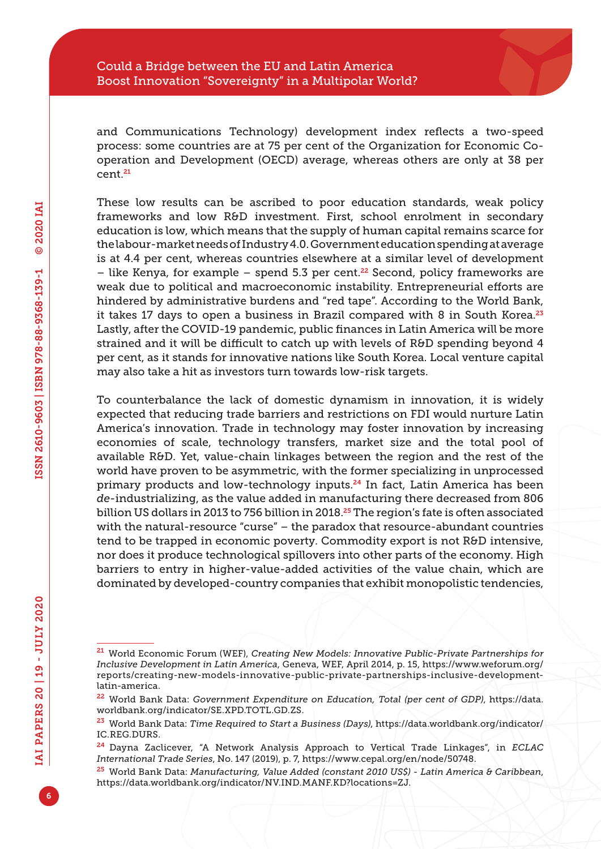and Communications Technology) development index reflects a two-speed process: some countries are at 75 per cent of the Organization for Economic Cooperation and Development (OECD) average, whereas others are only at 38 per cent.<sup>21</sup>

These low results can be ascribed to poor education standards, weak policy frameworks and low R&D investment. First, school enrolment in secondary education is low, which means that the supply of human capital remains scarce for the labour-market needs of Industry 4.0. Government education spending at average is at 4.4 per cent, whereas countries elsewhere at a similar level of development – like Kenya, for example – spend 5.3 per cent.<sup>22</sup> Second, policy frameworks are weak due to political and macroeconomic instability. Entrepreneurial efforts are hindered by administrative burdens and "red tape". According to the World Bank, it takes 17 days to open a business in Brazil compared with 8 in South Korea. $^{23}$ Lastly, after the COVID-19 pandemic, public finances in Latin America will be more strained and it will be difficult to catch up with levels of R&D spending beyond 4 per cent, as it stands for innovative nations like South Korea. Local venture capital may also take a hit as investors turn towards low-risk targets.

To counterbalance the lack of domestic dynamism in innovation, it is widely expected that reducing trade barriers and restrictions on FDI would nurture Latin America's innovation. Trade in technology may foster innovation by increasing economies of scale, technology transfers, market size and the total pool of available R&D. Yet, value-chain linkages between the region and the rest of the world have proven to be asymmetric, with the former specializing in unprocessed primary products and low-technology inputs.<sup>24</sup> In fact, Latin America has been *de*-industrializing, as the value added in manufacturing there decreased from 806 billion US dollars in 2013 to 756 billion in 2018.<sup>25</sup> The region's fate is often associated with the natural-resource "curse" – the paradox that resource-abundant countries tend to be trapped in economic poverty. Commodity export is not R&D intensive, nor does it produce technological spillovers into other parts of the economy. High barriers to entry in higher-value-added activities of the value chain, which are dominated by developed-country companies that exhibit monopolistic tendencies,

<sup>21</sup> World Economic Forum (WEF), *Creating New Models: Innovative Public-Private Partnerships for Inclusive Development in Latin America*, Geneva, WEF, April 2014, p. 15, [https://www.weforum.org/](https://www.weforum.org/reports/creating-new-models-innovative-public-private-partnerships-inclusive-development-latin-america) [reports/creating-new-models-innovative-public-private-partnerships-inclusive-development](https://www.weforum.org/reports/creating-new-models-innovative-public-private-partnerships-inclusive-development-latin-america)[latin-america.](https://www.weforum.org/reports/creating-new-models-innovative-public-private-partnerships-inclusive-development-latin-america)

<sup>22</sup> World Bank Data: *Government Expenditure on Education, Total (per cent of GDP)*, [https://data.](https://data.worldbank.org/indicator/SE.XPD.TOTL.GD.ZS) [worldbank.org/indicator/SE.XPD.TOTL.GD.ZS.](https://data.worldbank.org/indicator/SE.XPD.TOTL.GD.ZS)

<sup>23</sup> World Bank Data: *Time Required to Start a Business (Days)*, [https://data.worldbank.org/indicator/](https://data.worldbank.org/indicator/IC.REG.DURS) [IC.REG.DURS.](https://data.worldbank.org/indicator/IC.REG.DURS)

<sup>24</sup> Dayna Zaclicever, "A Network Analysis Approach to Vertical Trade Linkages", in *ECLAC International Trade Series*, No. 147 (2019), p. 7, [https://www.cepal.org/en/node/50748.](https://www.cepal.org/en/node/50748)

<sup>25</sup> World Bank Data: *Manufacturing, Value Added (constant 2010 US\$) - Latin America & Caribbean*, [https://data.worldbank.org/indicator/NV.IND.MANF.KD?locations=ZJ.](https://data.worldbank.org/indicator/NV.IND.MANF.KD?locations=ZJ)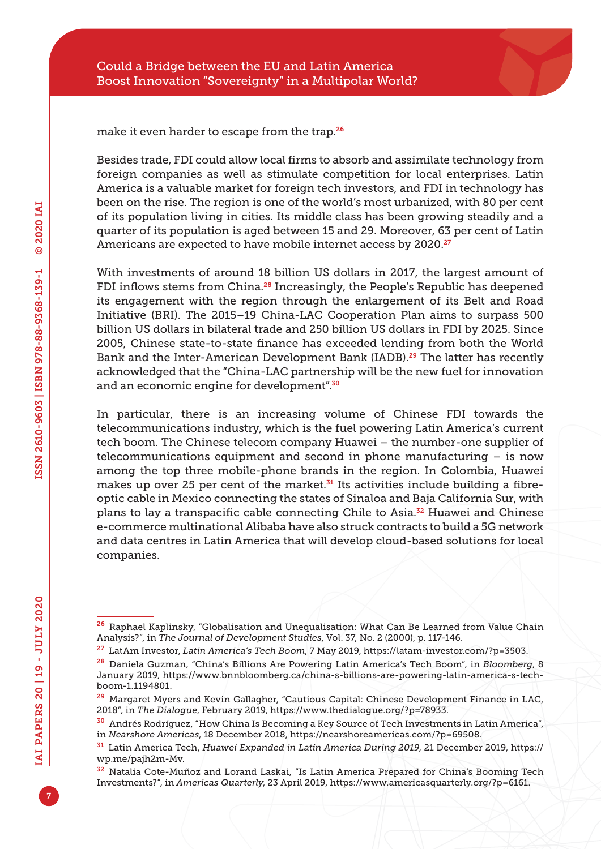make it even harder to escape from the trap.<sup>26</sup>

Besides trade, FDI could allow local firms to absorb and assimilate technology from foreign companies as well as stimulate competition for local enterprises. Latin America is a valuable market for foreign tech investors, and FDI in technology has been on the rise. The region is one of the world's most urbanized, with 80 per cent of its population living in cities. Its middle class has been growing steadily and a quarter of its population is aged between 15 and 29. Moreover, 63 per cent of Latin Americans are expected to have mobile internet access by 2020.<sup>27</sup>

With investments of around 18 billion US dollars in 2017, the largest amount of FDI inflows stems from China.<sup>28</sup> Increasingly, the People's Republic has deepened its engagement with the region through the enlargement of its Belt and Road Initiative (BRI). The 2015–19 China-LAC Cooperation Plan aims to surpass 500 billion US dollars in bilateral trade and 250 billion US dollars in FDI by 2025. Since 2005, Chinese state-to-state finance has exceeded lending from both the World Bank and the Inter-American Development Bank (IADB).<sup>29</sup> The latter has recently acknowledged that the "China-LAC partnership will be the new fuel for innovation and an economic engine for development".<sup>30</sup>

In particular, there is an increasing volume of Chinese FDI towards the telecommunications industry, which is the fuel powering Latin America's current tech boom. The Chinese telecom company Huawei – the number-one supplier of telecommunications equipment and second in phone manufacturing – is now among the top three mobile-phone brands in the region. In Colombia, Huawei makes up over 25 per cent of the market. $31$  Its activities include building a fibreoptic cable in Mexico connecting the states of Sinaloa and Baja California Sur, with plans to lay a transpacific cable connecting Chile to Asia.32 Huawei and Chinese e-commerce multinational Alibaba have also struck contracts to build a 5G network and data centres in Latin America that will develop cloud-based solutions for local companies.

<sup>&</sup>lt;sup>26</sup> Raphael Kaplinsky, "Globalisation and Unequalisation: What Can Be Learned from Value Chain Analysis?", in *The Journal of Development Studies*, Vol. 37, No. 2 (2000), p. 117-146.

<sup>27</sup> LatAm Investor, *Latin America's Tech Boom*, 7 May 2019, [https://latam-investor.com/?p=3503.](https://latam-investor.com/?p=3503)

<sup>28</sup> Daniela Guzman, "China's Billions Are Powering Latin America's Tech Boom", in *Bloomberg*, 8 January 2019, [https://www.bnnbloomberg.ca/china-s-billions-are-powering-latin-america-s-tech](https://www.bnnbloomberg.ca/china-s-billions-are-powering-latin-america-s-tech-boom-1.1194801)[boom-1.1194801](https://www.bnnbloomberg.ca/china-s-billions-are-powering-latin-america-s-tech-boom-1.1194801).

 $29$  Margaret Myers and Kevin Gallagher, "Cautious Capital: Chinese Development Finance in LAC, 2018", in *The Dialogue*, February 2019, [https://www.thedialogue.org/?p=78933.](https://www.thedialogue.org/?p=78933)

<sup>30</sup> Andrés Rodríguez, "How China Is Becoming a Key Source of Tech Investments in Latin America", in *Nearshore Americas*, 18 December 2018, [https://nearshoreamericas.com/?p=69508.](https://nearshoreamericas.com/?p=69508)

<sup>31</sup> Latin America Tech, *Huawei Expanded in Latin America During 2019*, 21 December 2019, [https://](https://wp.me/pajh2m-Mv) [wp.me/pajh2m-Mv.](https://wp.me/pajh2m-Mv)

<sup>32</sup> Natalia Cote-Muñoz and Lorand Laskai, "Is Latin America Prepared for China's Booming Tech Investments?", in *Americas Quarterly*, 23 April 2019, [https://www.americasquarterly.org/?p=6161.](https://www.americasquarterly.org/?p=6161)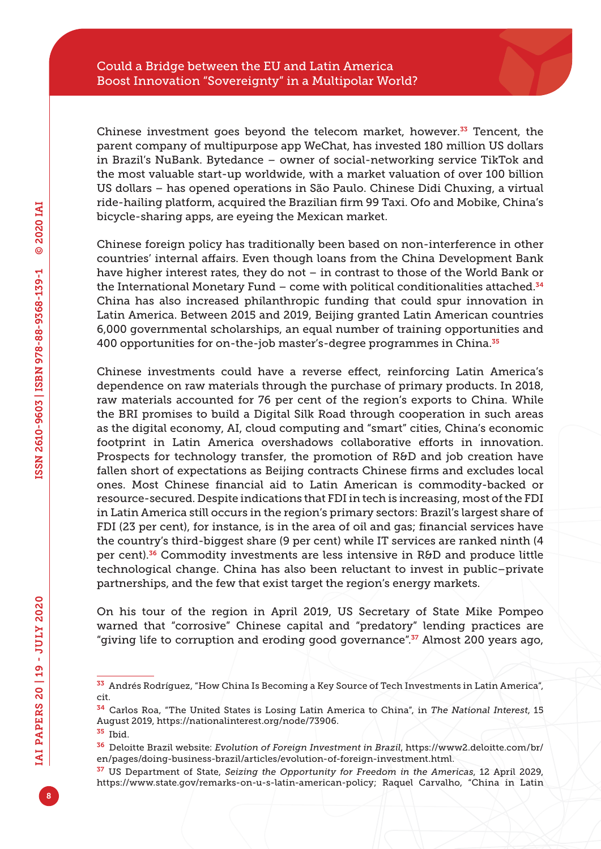Chinese investment goes beyond the telecom market, however. $33$  Tencent, the parent company of multipurpose app WeChat, has invested 180 million US dollars in Brazil's NuBank. Bytedance – owner of social-networking service TikTok and the most valuable start-up worldwide, with a market valuation of over 100 billion US dollars – has opened operations in São Paulo. Chinese Didi Chuxing, a virtual ride-hailing platform, acquired the Brazilian firm 99 Taxi. Ofo and Mobike, China's bicycle-sharing apps, are eyeing the Mexican market.

Chinese foreign policy has traditionally been based on non-interference in other countries' internal affairs. Even though loans from the China Development Bank have higher interest rates, they do not – in contrast to those of the World Bank or the International Monetary Fund – come with political conditionalities attached.<sup>34</sup> China has also increased philanthropic funding that could spur innovation in Latin America. Between 2015 and 2019, Beijing granted Latin American countries 6,000 governmental scholarships, an equal number of training opportunities and 400 opportunities for on-the-job master's-degree programmes in China.<sup>35</sup>

Chinese investments could have a reverse effect, reinforcing Latin America's dependence on raw materials through the purchase of primary products. In 2018, raw materials accounted for 76 per cent of the region's exports to China. While the BRI promises to build a Digital Silk Road through cooperation in such areas as the digital economy, AI, cloud computing and "smart" cities, China's economic footprint in Latin America overshadows collaborative efforts in innovation. Prospects for technology transfer, the promotion of R&D and job creation have fallen short of expectations as Beijing contracts Chinese firms and excludes local ones. Most Chinese financial aid to Latin American is commodity-backed or resource-secured. Despite indications that FDI in tech is increasing, most of the FDI in Latin America still occurs in the region's primary sectors: Brazil's largest share of FDI (23 per cent), for instance, is in the area of oil and gas; financial services have the country's third-biggest share (9 per cent) while IT services are ranked ninth (4 per cent).36 Commodity investments are less intensive in R&D and produce little technological change. China has also been reluctant to invest in public–private partnerships, and the few that exist target the region's energy markets.

On his tour of the region in April 2019, US Secretary of State Mike Pompeo warned that "corrosive" Chinese capital and "predatory" lending practices are "giving life to corruption and eroding good governance".<sup>37</sup> Almost 200 years ago,

<sup>33</sup> Andrés Rodríguez, "How China Is Becoming a Key Source of Tech Investments in Latin America", cit.

<sup>34</sup> Carlos Roa, "The United States is Losing Latin America to China", in *The National Interest*, 15 August 2019,<https://nationalinterest.org/node/73906>.

<sup>35</sup> Ibid.

<sup>36</sup> Deloitte Brazil website: *Evolution of Foreign Investment in Brazil*, [https://www2.deloitte.com/br/](https://www2.deloitte.com/br/en/pages/doing-business-brazil/articles/evolution-of-foreign-investment.html) [en/pages/doing-business-brazil/articles/evolution-of-foreign-investment.html](https://www2.deloitte.com/br/en/pages/doing-business-brazil/articles/evolution-of-foreign-investment.html).

<sup>37</sup> US Department of State, *Seizing the Opportunity for Freedom in the Americas*, 12 April 2029, <https://www.state.gov/remarks-on-u-s-latin-american-policy>; Raquel Carvalho, "China in Latin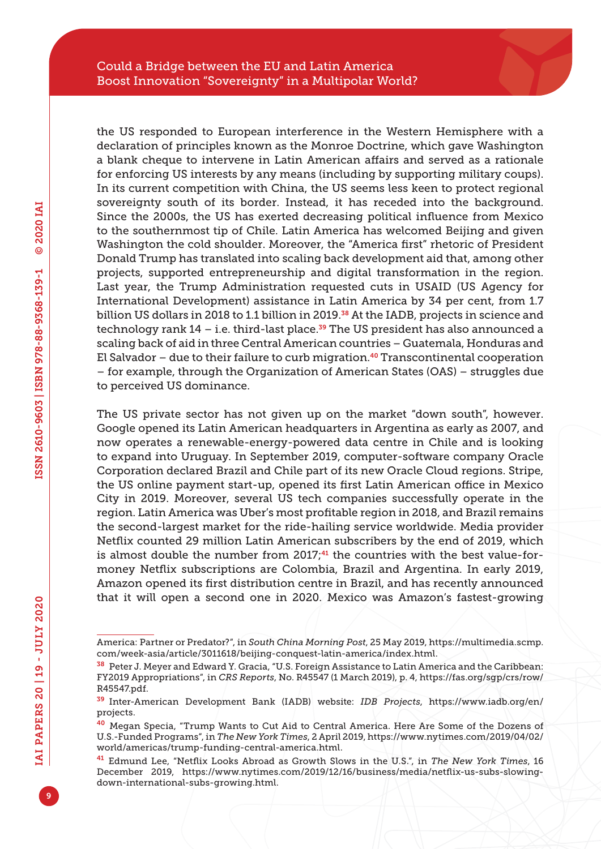the US responded to European interference in the Western Hemisphere with a declaration of principles known as the Monroe Doctrine, which gave Washington a blank cheque to intervene in Latin American affairs and served as a rationale for enforcing US interests by any means (including by supporting military coups). In its current competition with China, the US seems less keen to protect regional sovereignty south of its border. Instead, it has receded into the background. Since the 2000s, the US has exerted decreasing political influence from Mexico to the southernmost tip of Chile. Latin America has welcomed Beijing and given Washington the cold shoulder. Moreover, the "America first" rhetoric of President Donald Trump has translated into scaling back development aid that, among other projects, supported entrepreneurship and digital transformation in the region. Last year, the Trump Administration requested cuts in USAID (US Agency for International Development) assistance in Latin America by 34 per cent, from 1.7 billion US dollars in 2018 to 1.1 billion in 2019.<sup>38</sup> At the IADB, projects in science and technology rank  $14$  – i.e. third-last place.<sup>39</sup> The US president has also announced a scaling back of aid in three Central American countries – Guatemala, Honduras and El Salvador – due to their failure to curb migration.<sup>40</sup> Transcontinental cooperation – for example, through the Organization of American States (OAS) – struggles due to perceived US dominance.

The US private sector has not given up on the market "down south", however. Google opened its Latin American headquarters in Argentina as early as 2007, and now operates a renewable-energy-powered data centre in Chile and is looking to expand into Uruguay. In September 2019, computer-software company Oracle Corporation declared Brazil and Chile part of its new Oracle Cloud regions. Stripe, the US online payment start-up, opened its first Latin American office in Mexico City in 2019. Moreover, several US tech companies successfully operate in the region. Latin America was Uber's most profitable region in 2018, and Brazil remains the second-largest market for the ride-hailing service worldwide. Media provider Netflix counted 29 million Latin American subscribers by the end of 2019, which is almost double the number from  $2017<sub>7</sub><sup>41</sup>$  the countries with the best value-formoney Netflix subscriptions are Colombia, Brazil and Argentina. In early 2019, Amazon opened its first distribution centre in Brazil, and has recently announced that it will open a second one in 2020. Mexico was Amazon's fastest-growing

America: Partner or Predator?", in *South China Morning Post*, 25 May 2019, [https://multimedia.scmp.](https://multimedia.scmp.com/week-asia/article/3011618/beijing-conquest-latin-america/index.html) [com/week-asia/article/3011618/beijing-conquest-latin-america/index.html](https://multimedia.scmp.com/week-asia/article/3011618/beijing-conquest-latin-america/index.html).

<sup>38</sup> Peter J. Meyer and Edward Y. Gracia, "U.S. Foreign Assistance to Latin America and the Caribbean: FY2019 Appropriations", in *CRS Reports*, No. R45547 (1 March 2019), p. 4, [https://fas.org/sgp/crs/row/](https://fas.org/sgp/crs/row/R45547.pdf) [R45547.pdf.](https://fas.org/sgp/crs/row/R45547.pdf)

<sup>39</sup> Inter-American Development Bank (IADB) website: *IDB Projects*, [https://www.iadb.org/en/](https://www.iadb.org/en/projects) [projects.](https://www.iadb.org/en/projects)

<sup>40</sup> Megan Specia, "Trump Wants to Cut Aid to Central America. Here Are Some of the Dozens of U.S.-Funded Programs", in *The New York Times*, 2 April 2019, [https://www.nytimes.com/2019/04/02/](https://www.nytimes.com/2019/04/02/world/americas/trump-funding-central-america.html) [world/americas/trump-funding-central-america.html](https://www.nytimes.com/2019/04/02/world/americas/trump-funding-central-america.html).

<sup>41</sup> Edmund Lee, "Netflix Looks Abroad as Growth Slows in the U.S.", in *The New York Times*, 16 December 2019, [https://www.nytimes.com/2019/12/16/business/media/netflix-us-subs-slowing](https://www.nytimes.com/2019/12/16/business/media/netflix-us-subs-slowing-down-international-subs-growing.html)[down-international-subs-growing.html.](https://www.nytimes.com/2019/12/16/business/media/netflix-us-subs-slowing-down-international-subs-growing.html)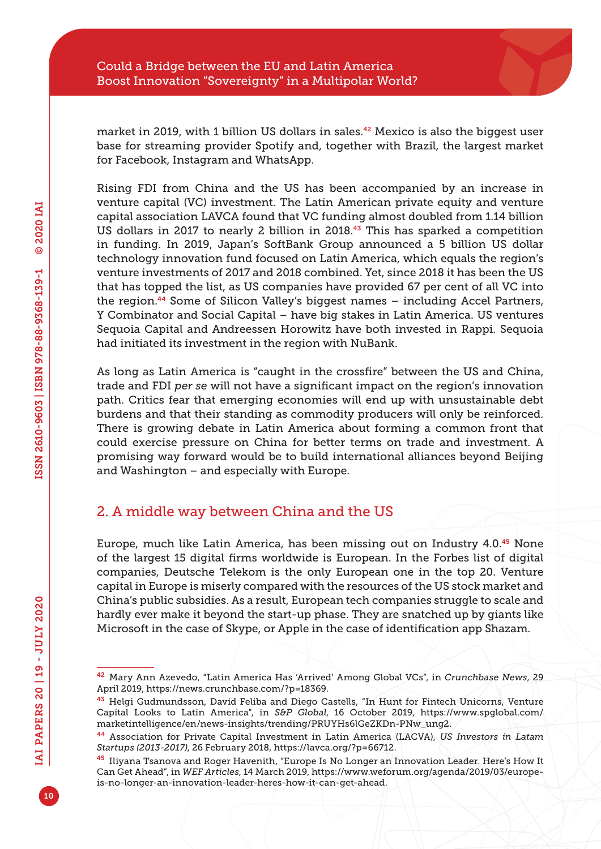market in 2019, with 1 billion US dollars in sales.<sup>42</sup> Mexico is also the biggest user base for streaming provider Spotify and, together with Brazil, the largest market for Facebook, Instagram and WhatsApp.

Rising FDI from China and the US has been accompanied by an increase in venture capital (VC) investment. The Latin American private equity and venture capital association LAVCA found that VC funding almost doubled from 1.14 billion US dollars in 2017 to nearly 2 billion in 2018.<sup>43</sup> This has sparked a competition in funding. In 2019, Japan's SoftBank Group announced a 5 billion US dollar technology innovation fund focused on Latin America, which equals the region's venture investments of 2017 and 2018 combined. Yet, since 2018 it has been the US that has topped the list, as US companies have provided 67 per cent of all VC into the region.44 Some of Silicon Valley's biggest names – including Accel Partners, Y Combinator and Social Capital – have big stakes in Latin America. US ventures Sequoia Capital and Andreessen Horowitz have both invested in Rappi. Sequoia had initiated its investment in the region with NuBank.

As long as Latin America is "caught in the crossfire" between the US and China, trade and FDI *per se* will not have a significant impact on the region's innovation path. Critics fear that emerging economies will end up with unsustainable debt burdens and that their standing as commodity producers will only be reinforced. There is growing debate in Latin America about forming a common front that could exercise pressure on China for better terms on trade and investment. A promising way forward would be to build international alliances beyond Beijing and Washington – and especially with Europe.

# 2. A middle way between China and the US

Europe, much like Latin America, has been missing out on Industry 4.0.<sup>45</sup> None of the largest 15 digital firms worldwide is European. In the Forbes list of digital companies, Deutsche Telekom is the only European one in the top 20. Venture capital in Europe is miserly compared with the resources of the US stock market and China's public subsidies. As a result, European tech companies struggle to scale and hardly ever make it beyond the start-up phase. They are snatched up by giants like Microsoft in the case of Skype, or Apple in the case of identification app Shazam.

<sup>42</sup> Mary Ann Azevedo, "Latin America Has 'Arrived' Among Global VCs", in *Crunchbase News*, 29 April 2019, [https://news.crunchbase.com/?p=18369.](https://news.crunchbase.com/?p=18369)

<sup>&</sup>lt;sup>43</sup> Helgi Gudmundsson, David Feliba and Diego Castells, "In Hunt for Fintech Unicorns, Venture Capital Looks to Latin America", in *S&P Global*, 16 October 2019, [https://www.spglobal.com/](https://www.spglobal.com/marketintelligence/en/news-insights/trending/PRUYHs6lGeZKDn-PNw_ung2) [marketintelligence/en/news-insights/trending/PRUYHs6lGeZKDn-PNw\\_ung2](https://www.spglobal.com/marketintelligence/en/news-insights/trending/PRUYHs6lGeZKDn-PNw_ung2).

<sup>44</sup> Association for Private Capital Investment in Latin America (LACVA), *US Investors in Latam Startups (2013-2017)*, 26 February 2018, [https://lavca.org/?p=66712.](https://lavca.org/?p=66712)

<sup>45</sup> Iliyana Tsanova and Roger Havenith, "Europe Is No Longer an Innovation Leader. Here's How It Can Get Ahead", in *WEF Articles*, 14 March 2019, [https://www.weforum.org/agenda/2019/03/europe](https://www.weforum.org/agenda/2019/03/europe-is-no-longer-an-innovation-leader-heres-how-it-can-get-ahead)[is-no-longer-an-innovation-leader-heres-how-it-can-get-ahead.](https://www.weforum.org/agenda/2019/03/europe-is-no-longer-an-innovation-leader-heres-how-it-can-get-ahead)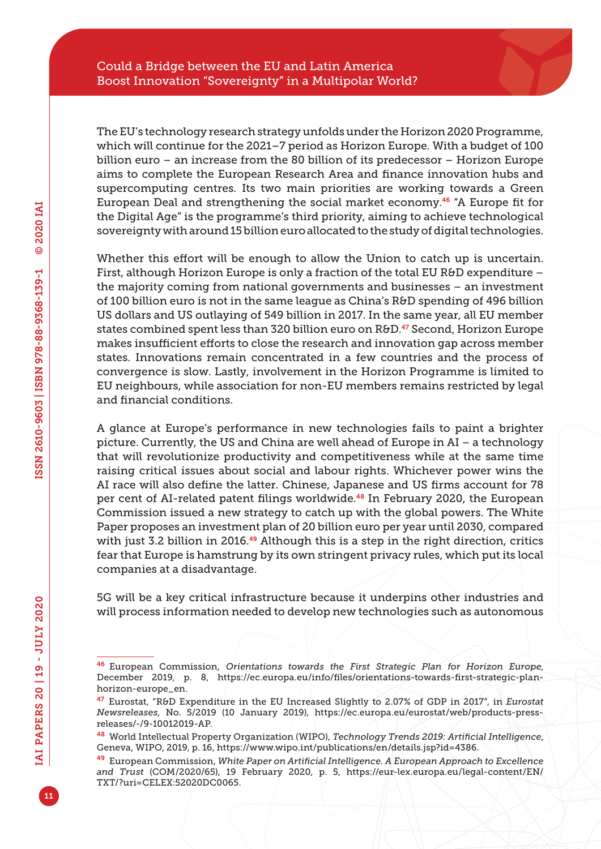The EU's technology research strategy unfolds under the Horizon 2020 Programme, which will continue for the 2021–7 period as Horizon Europe. With a budget of 100 billion euro – an increase from the 80 billion of its predecessor – Horizon Europe aims to complete the European Research Area and finance innovation hubs and supercomputing centres. Its two main priorities are working towards a Green European Deal and strengthening the social market economy.46 "A Europe fit for the Digital Age" is the programme's third priority, aiming to achieve technological sovereignty with around 15 billion euro allocated to the study of digital technologies.

Whether this effort will be enough to allow the Union to catch up is uncertain. First, although Horizon Europe is only a fraction of the total EU R&D expenditure – the majority coming from national governments and businesses – an investment of 100 billion euro is not in the same league as China's R&D spending of 496 billion US dollars and US outlaying of 549 billion in 2017. In the same year, all EU member states combined spent less than 320 billion euro on R&D.<sup>47</sup> Second, Horizon Europe makes insufficient efforts to close the research and innovation gap across member states. Innovations remain concentrated in a few countries and the process of convergence is slow. Lastly, involvement in the Horizon Programme is limited to EU neighbours, while association for non-EU members remains restricted by legal and financial conditions.

A glance at Europe's performance in new technologies fails to paint a brighter picture. Currently, the US and China are well ahead of Europe in AI – a technology that will revolutionize productivity and competitiveness while at the same time raising critical issues about social and labour rights. Whichever power wins the AI race will also define the latter. Chinese, Japanese and US firms account for 78 per cent of AI-related patent filings worldwide.<sup>48</sup> In February 2020, the European Commission issued a new strategy to catch up with the global powers. The White Paper proposes an investment plan of 20 billion euro per year until 2030, compared with just 3.2 billion in 2016.<sup>49</sup> Although this is a step in the right direction, critics fear that Europe is hamstrung by its own stringent privacy rules, which put its local companies at a disadvantage.

5G will be a key critical infrastructure because it underpins other industries and will process information needed to develop new technologies such as autonomous

<sup>46</sup> European Commission, *Orientations towards the First Strategic Plan for Horizon Europe*, December 2019, p. 8, [https://ec.europa.eu/info/files/orientations-towards-first-strategic-plan](https://ec.europa.eu/info/files/orientations-towards-first-strategic-plan-horizon-europe_en)[horizon-europe\\_en.](https://ec.europa.eu/info/files/orientations-towards-first-strategic-plan-horizon-europe_en)

<sup>47</sup> Eurostat, "R&D Expenditure in the EU Increased Slightly to 2.07% of GDP in 2017", in *Eurostat Newsreleases*, No. 5/2019 (10 January 2019), [https://ec.europa.eu/eurostat/web/products-press](https://ec.europa.eu/eurostat/web/products-press-releases/-/9-10012019-AP)[releases/-/9-10012019-AP](https://ec.europa.eu/eurostat/web/products-press-releases/-/9-10012019-AP).

<sup>48</sup> World Intellectual Property Organization (WIPO), *Technology Trends 2019: Artificial Intelligence*, Geneva, WIPO, 2019, p. 16, [https://www.wipo.int/publications/en/details.jsp?id=4386.](https://www.wipo.int/publications/en/details.jsp?id=4386)

<sup>49</sup> European Commission, *White Paper on Artificial Intelligence. A European Approach to Excellence and Trust* (COM/2020/65), 19 February 2020, p. 5, [https://eur-lex.europa.eu/legal-content/EN/](https://eur-lex.europa.eu/legal-content/EN/TXT/?uri=CELEX:52020DC0065) [TXT/?uri=CELEX:52020DC0065.](https://eur-lex.europa.eu/legal-content/EN/TXT/?uri=CELEX:52020DC0065)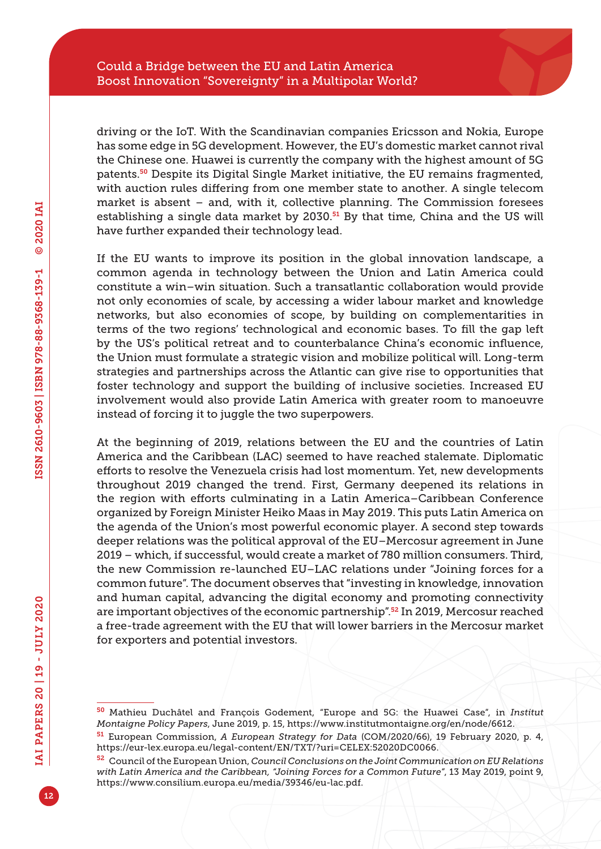driving or the IoT. With the Scandinavian companies Ericsson and Nokia, Europe has some edge in 5G development. However, the EU's domestic market cannot rival the Chinese one. Huawei is currently the company with the highest amount of 5G patents.50 Despite its Digital Single Market initiative, the EU remains fragmented, with auction rules differing from one member state to another. A single telecom market is absent – and, with it, collective planning. The Commission foresees establishing a single data market by 2030. $51$  By that time, China and the US will have further expanded their technology lead.

If the EU wants to improve its position in the global innovation landscape, a common agenda in technology between the Union and Latin America could constitute a win–win situation. Such a transatlantic collaboration would provide not only economies of scale, by accessing a wider labour market and knowledge networks, but also economies of scope, by building on complementarities in terms of the two regions' technological and economic bases. To fill the gap left by the US's political retreat and to counterbalance China's economic influence, the Union must formulate a strategic vision and mobilize political will. Long-term strategies and partnerships across the Atlantic can give rise to opportunities that foster technology and support the building of inclusive societies. Increased EU involvement would also provide Latin America with greater room to manoeuvre instead of forcing it to juggle the two superpowers.

At the beginning of 2019, relations between the EU and the countries of Latin America and the Caribbean (LAC) seemed to have reached stalemate. Diplomatic efforts to resolve the Venezuela crisis had lost momentum. Yet, new developments throughout 2019 changed the trend. First, Germany deepened its relations in the region with efforts culminating in a Latin America–Caribbean Conference organized by Foreign Minister Heiko Maas in May 2019. This puts Latin America on the agenda of the Union's most powerful economic player. A second step towards deeper relations was the political approval of the EU–Mercosur agreement in June 2019 – which, if successful, would create a market of 780 million consumers. Third, the new Commission re-launched EU–LAC relations under "Joining forces for a common future". The document observes that "investing in knowledge, innovation and human capital, advancing the digital economy and promoting connectivity are important objectives of the economic partnership".52 In 2019, Mercosur reached a free-trade agreement with the EU that will lower barriers in the Mercosur market for exporters and potential investors.

<sup>50</sup> Mathieu Duchâtel and François Godement, "Europe and 5G: the Huawei Case", in *Institut Montaigne Policy Papers*, June 2019, p. 15, [https://www.institutmontaigne.org/en/node/6612.](https://www.institutmontaigne.org/en/node/6612)

<sup>51</sup> European Commission, *A European Strategy for Data* (COM/2020/66), 19 February 2020, p. 4, [https://eur-lex.europa.eu/legal-content/EN/TXT/?uri=CELEX:52020DC0066.](https://eur-lex.europa.eu/legal-content/EN/TXT/?uri=CELEX:52020DC0066)

<sup>52</sup> Council of the European Union, *Council Conclusions on the Joint Communication on EU Relations with Latin America and the Caribbean, "Joining Forces for a Common Future"*, 13 May 2019, point 9, [https://www.consilium.europa.eu/media/39346/eu-lac.pdf.](https://www.consilium.europa.eu/media/39346/eu-lac.pdf)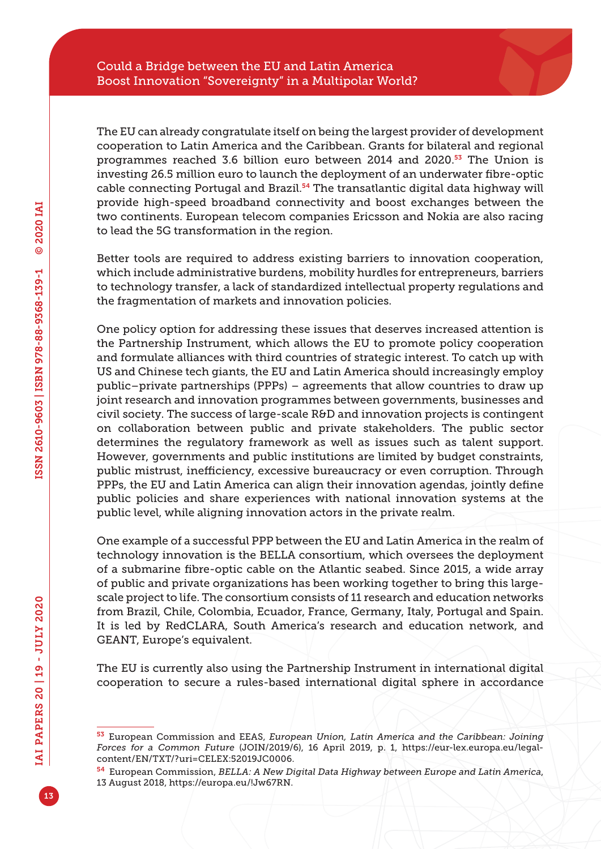The EU can already congratulate itself on being the largest provider of development cooperation to Latin America and the Caribbean. Grants for bilateral and regional programmes reached 3.6 billion euro between 2014 and 2020.<sup>53</sup> The Union is investing 26.5 million euro to launch the deployment of an underwater fibre-optic cable connecting Portugal and Brazil.<sup>54</sup> The transatlantic digital data highway will provide high-speed broadband connectivity and boost exchanges between the two continents. European telecom companies Ericsson and Nokia are also racing to lead the 5G transformation in the region.

Better tools are required to address existing barriers to innovation cooperation, which include administrative burdens, mobility hurdles for entrepreneurs, barriers to technology transfer, a lack of standardized intellectual property regulations and the fragmentation of markets and innovation policies.

One policy option for addressing these issues that deserves increased attention is the Partnership Instrument, which allows the EU to promote policy cooperation and formulate alliances with third countries of strategic interest. To catch up with US and Chinese tech giants, the EU and Latin America should increasingly employ public–private partnerships (PPPs) – agreements that allow countries to draw up joint research and innovation programmes between governments, businesses and civil society. The success of large-scale R&D and innovation projects is contingent on collaboration between public and private stakeholders. The public sector determines the regulatory framework as well as issues such as talent support. However, governments and public institutions are limited by budget constraints, public mistrust, inefficiency, excessive bureaucracy or even corruption. Through PPPs, the EU and Latin America can align their innovation agendas, jointly define public policies and share experiences with national innovation systems at the public level, while aligning innovation actors in the private realm.

One example of a successful PPP between the EU and Latin America in the realm of technology innovation is the BELLA consortium, which oversees the deployment of a submarine fibre-optic cable on the Atlantic seabed. Since 2015, a wide array of public and private organizations has been working together to bring this largescale project to life. The consortium consists of 11 research and education networks from Brazil, Chile, Colombia, Ecuador, France, Germany, Italy, Portugal and Spain. It is led by RedCLARA, South America's research and education network, and GEANT, Europe's equivalent.

The EU is currently also using the Partnership Instrument in international digital cooperation to secure a rules-based international digital sphere in accordance

<sup>53</sup> European Commission and EEAS, *European Union, Latin America and the Caribbean: Joining Forces for a Common Future* (JOIN/2019/6), 16 April 2019, p. 1, [https://eur-lex.europa.eu/legal](https://eur-lex.europa.eu/legal-content/EN/TXT/?uri=CELEX:52019JC0006)[content/EN/TXT/?uri=CELEX:52019JC0006.](https://eur-lex.europa.eu/legal-content/EN/TXT/?uri=CELEX:52019JC0006)

<sup>54</sup> European Commission, *BELLA: A New Digital Data Highway between Europe and Latin America*, 13 August 2018, <https://europa.eu/!Jw67RN>.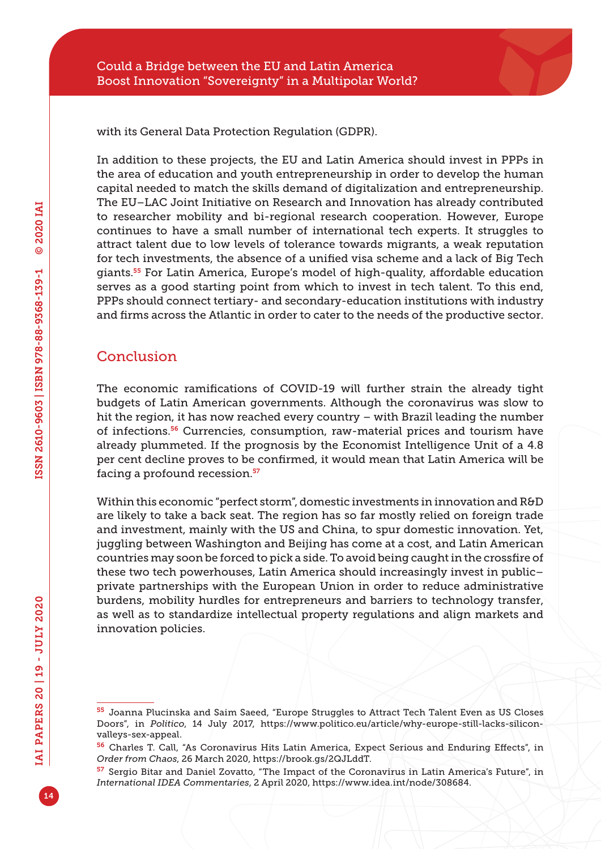with its General Data Protection Regulation (GDPR).

In addition to these projects, the EU and Latin America should invest in PPPs in the area of education and youth entrepreneurship in order to develop the human capital needed to match the skills demand of digitalization and entrepreneurship. The EU–LAC Joint Initiative on Research and Innovation has already contributed to researcher mobility and bi-regional research cooperation. However, Europe continues to have a small number of international tech experts. It struggles to attract talent due to low levels of tolerance towards migrants, a weak reputation for tech investments, the absence of a unified visa scheme and a lack of Big Tech giants.55 For Latin America, Europe's model of high-quality, affordable education serves as a good starting point from which to invest in tech talent. To this end, PPPs should connect tertiary- and secondary-education institutions with industry and firms across the Atlantic in order to cater to the needs of the productive sector.

# **Conclusion**

The economic ramifications of COVID-19 will further strain the already tight budgets of Latin American governments. Although the coronavirus was slow to hit the region, it has now reached every country – with Brazil leading the number of infections.56 Currencies, consumption, raw-material prices and tourism have already plummeted. If the prognosis by the Economist Intelligence Unit of a 4.8 per cent decline proves to be confirmed, it would mean that Latin America will be facing a profound recession.<sup>57</sup>

Within this economic "perfect storm", domestic investments in innovation and R&D are likely to take a back seat. The region has so far mostly relied on foreign trade and investment, mainly with the US and China, to spur domestic innovation. Yet, juggling between Washington and Beijing has come at a cost, and Latin American countries may soon be forced to pick a side. To avoid being caught in the crossfire of these two tech powerhouses, Latin America should increasingly invest in public– private partnerships with the European Union in order to reduce administrative burdens, mobility hurdles for entrepreneurs and barriers to technology transfer, as well as to standardize intellectual property regulations and align markets and innovation policies.

<sup>55</sup> Joanna Plucinska and Saim Saeed, "Europe Struggles to Attract Tech Talent Even as US Closes Doors", in *Politico*, 14 July 2017, [https://www.politico.eu/article/why-europe-still-lacks-silicon](https://www.politico.eu/article/why-europe-still-lacks-silicon-valleys-sex-appeal)[valleys-sex-appeal.](https://www.politico.eu/article/why-europe-still-lacks-silicon-valleys-sex-appeal)

<sup>56</sup> Charles T. Call, "As Coronavirus Hits Latin America, Expect Serious and Enduring Effects", in *Order from Chaos*, 26 March 2020, [https://brook.gs/2QJLddT.](https://brook.gs/2QJLddT)

<sup>&</sup>lt;sup>57</sup> Sergio Bitar and Daniel Zovatto, "The Impact of the Coronavirus in Latin America's Future", in *International IDEA Commentaries*, 2 April 2020, [https://www.idea.int/node/308684.](https://www.idea.int/node/308684)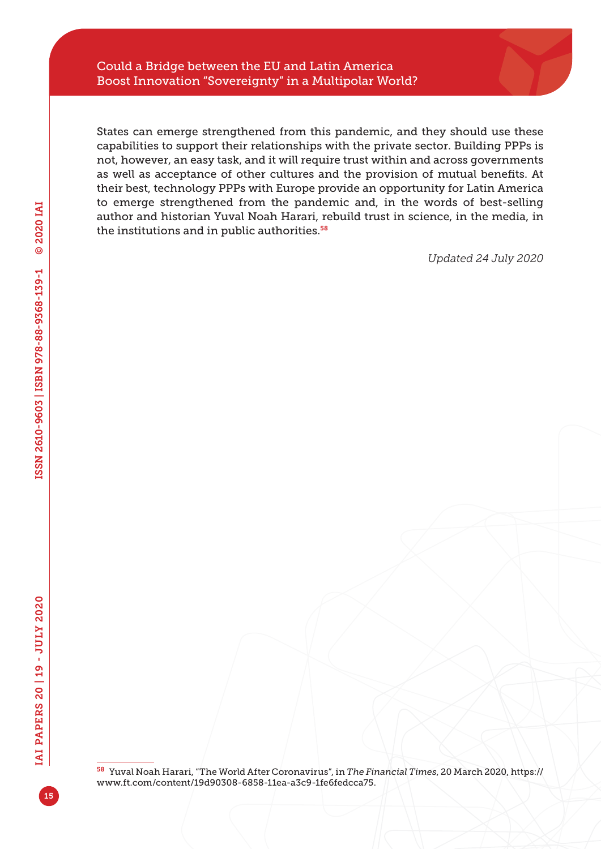States can emerge strengthened from this pandemic, and they should use these capabilities to support their relationships with the private sector. Building PPPs is not, however, an easy task, and it will require trust within and across governments as well as acceptance of other cultures and the provision of mutual benefits. At their best, technology PPPs with Europe provide an opportunity for Latin America to emerge strengthened from the pandemic and, in the words of best-selling author and historian Yuval Noah Harari, rebuild trust in science, in the media, in the institutions and in public authorities.<sup>58</sup>

*Updated 24 July 2020*

<sup>58</sup> Yuval Noah Harari, "The World After Coronavirus", in *The Financial Times*, 20 March 2020, [https://](https://www.ft.com/content/19d90308-6858-11ea-a3c9-1fe6fedcca75) [www.ft.com/content/19d90308-6858-11ea-a3c9-1fe6fedcca75](https://www.ft.com/content/19d90308-6858-11ea-a3c9-1fe6fedcca75).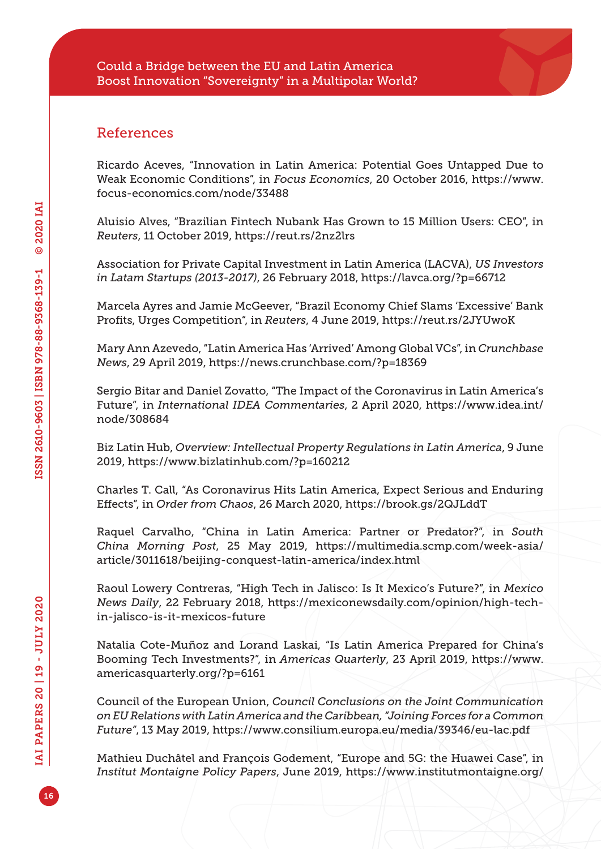## References

Ricardo Aceves, "Innovation in Latin America: Potential Goes Untapped Due to Weak Economic Conditions", in *Focus Economics*, 20 October 2016, [https://www.](https://www.focus-economics.com/node/33488) [focus-economics.com/node/33488](https://www.focus-economics.com/node/33488)

Aluisio Alves, "Brazilian Fintech Nubank Has Grown to 15 Million Users: CEO", in *Reuters*, 11 October 2019, <https://reut.rs/2nz2lrs>

Association for Private Capital Investment in Latin America (LACVA), *US Investors in Latam Startups (2013-2017)*, 26 February 2018, <https://lavca.org/?p=66712>

Marcela Ayres and Jamie McGeever, "Brazil Economy Chief Slams 'Excessive' Bank Profits, Urges Competition", in *Reuters*, 4 June 2019, <https://reut.rs/2JYUwoK>

Mary Ann Azevedo, "Latin America Has 'Arrived' Among Global VCs", in *Crunchbase News*, 29 April 2019,<https://news.crunchbase.com/?p=18369>

Sergio Bitar and Daniel Zovatto, "The Impact of the Coronavirus in Latin America's Future", in *International IDEA Commentaries*, 2 April 2020, [https://www.idea.int/](https://www.idea.int/node/308684) [node/308684](https://www.idea.int/node/308684)

Biz Latin Hub, *Overview: Intellectual Property Regulations in Latin America*, 9 June 2019, <https://www.bizlatinhub.com/?p=160212>

Charles T. Call, "As Coronavirus Hits Latin America, Expect Serious and Enduring Effects", in *Order from Chaos*, 26 March 2020,<https://brook.gs/2QJLddT>

Raquel Carvalho, "China in Latin America: Partner or Predator?", in *South China Morning Post*, 25 May 2019, [https://multimedia.scmp.com/week-asia/](https://multimedia.scmp.com/week-asia/article/3011618/beijing-conquest-latin-america/index.html) [article/3011618/beijing-conquest-latin-america/index.html](https://multimedia.scmp.com/week-asia/article/3011618/beijing-conquest-latin-america/index.html)

Raoul Lowery Contreras, "High Tech in Jalisco: Is It Mexico's Future?", in *Mexico News Daily*, 22 February 2018, [https://mexiconewsdaily.com/opinion/high-tech](https://mexiconewsdaily.com/opinion/high-tech-in-jalisco-is-it-mexicos-future)[in-jalisco-is-it-mexicos-future](https://mexiconewsdaily.com/opinion/high-tech-in-jalisco-is-it-mexicos-future)

Natalia Cote-Muñoz and Lorand Laskai, "Is Latin America Prepared for China's Booming Tech Investments?", in *Americas Quarterly*, 23 April 2019, [https://www.](https://www.americasquarterly.org/?p=6161) [americasquarterly.org/?p=6161](https://www.americasquarterly.org/?p=6161)

Council of the European Union, *Council Conclusions on the Joint Communication on EU Relations with Latin America and the Caribbean, "Joining Forces for a Common Future"*, 13 May 2019, <https://www.consilium.europa.eu/media/39346/eu-lac.pdf>

Mathieu Duchâtel and François Godement, "Europe and 5G: the Huawei Case", in *Institut Montaigne Policy Papers*, June 2019, [https://www.institutmontaigne.org/](https://www.institutmontaigne.org/en/node/6612)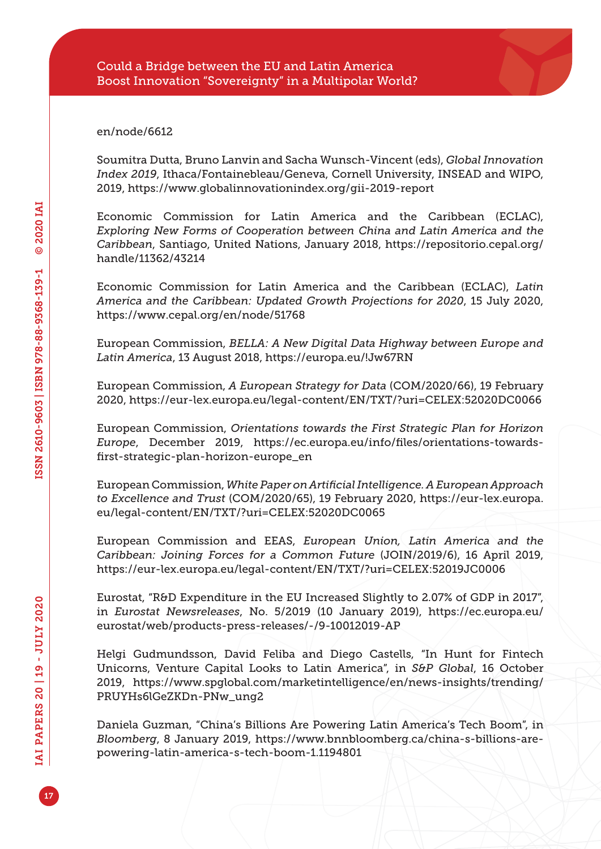#### [en/node/6612](https://www.institutmontaigne.org/en/node/6612)

Soumitra Dutta, Bruno Lanvin and Sacha Wunsch-Vincent (eds), *Global Innovation Index 2019*, Ithaca/Fontainebleau/Geneva, Cornell University, INSEAD and WIPO, 2019, <https://www.globalinnovationindex.org/gii-2019-report>

Economic Commission for Latin America and the Caribbean (ECLAC), *Exploring New Forms of Cooperation between China and Latin America and the Caribbean*, Santiago, United Nations, January 2018, [https://repositorio.cepal.org/](https://repositorio.cepal.org/handle/11362/43214) [handle/11362/43214](https://repositorio.cepal.org/handle/11362/43214)

Economic Commission for Latin America and the Caribbean (ECLAC), *Latin America and the Caribbean: Updated Growth Projections for 2020*, 15 July 2020, <https://www.cepal.org/en/node/51768>

European Commission, *BELLA: A New Digital Data Highway between Europe and Latin America*, 13 August 2018, <https://europa.eu/!Jw67RN>

European Commission, *A European Strategy for Data* (COM/2020/66), 19 February 2020,<https://eur-lex.europa.eu/legal-content/EN/TXT/?uri=CELEX:52020DC0066>

European Commission, *Orientations towards the First Strategic Plan for Horizon Europe*, December 2019, [https://ec.europa.eu/info/files/orientations-towards](https://ec.europa.eu/info/files/orientations-towards-first-strategic-plan-horizon-europe_en)[first-strategic-plan-horizon-europe\\_en](https://ec.europa.eu/info/files/orientations-towards-first-strategic-plan-horizon-europe_en)

European Commission, *White Paper on Artificial Intelligence. A European Approach to Excellence and Trust* (COM/2020/65), 19 February 2020, [https://eur-lex.europa.](https://eur-lex.europa.eu/legal-content/EN/TXT/?uri=CELEX:52020DC0065) [eu/legal-content/EN/TXT/?uri=CELEX:52020DC0065](https://eur-lex.europa.eu/legal-content/EN/TXT/?uri=CELEX:52020DC0065)

European Commission and EEAS, *European Union, Latin America and the Caribbean: Joining Forces for a Common Future* (JOIN/2019/6), 16 April 2019, <https://eur-lex.europa.eu/legal-content/EN/TXT/?uri=CELEX:52019JC0006>

Eurostat, "R&D Expenditure in the EU Increased Slightly to 2.07% of GDP in 2017", in *Eurostat Newsreleases*, No. 5/2019 (10 January 2019), [https://ec.europa.eu/](https://ec.europa.eu/eurostat/web/products-press-releases/-/9-10012019-AP) [eurostat/web/products-press-releases/-/9-10012019-AP](https://ec.europa.eu/eurostat/web/products-press-releases/-/9-10012019-AP)

Helgi Gudmundsson, David Feliba and Diego Castells, "In Hunt for Fintech Unicorns, Venture Capital Looks to Latin America", in *S&P Global*, 16 October 2019, [https://www.spglobal.com/marketintelligence/en/news-insights/trending/](https://www.spglobal.com/marketintelligence/en/news-insights/trending/PRUYHs6lGeZKDn-PNw_ung2) [PRUYHs6lGeZKDn-PNw\\_ung2](https://www.spglobal.com/marketintelligence/en/news-insights/trending/PRUYHs6lGeZKDn-PNw_ung2)

Daniela Guzman, "China's Billions Are Powering Latin America's Tech Boom", in *Bloomberg*, 8 January 2019, [https://www.bnnbloomberg.ca/china-s-billions-are](https://www.bnnbloomberg.ca/china-s-billions-are-powering-latin-america-s-tech-boom-1.1194801)[powering-latin-america-s-tech-boom-1.1194801](https://www.bnnbloomberg.ca/china-s-billions-are-powering-latin-america-s-tech-boom-1.1194801)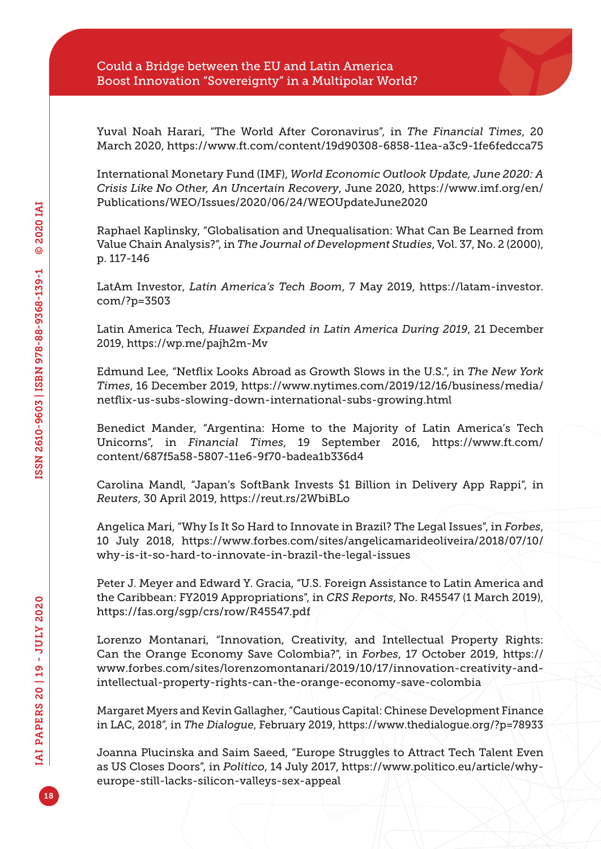Yuval Noah Harari, "The World After Coronavirus", in *The Financial Times*, 20 March 2020, <https://www.ft.com/content/19d90308-6858-11ea-a3c9-1fe6fedcca75>

International Monetary Fund (IMF), *World Economic Outlook Update, June 2020: A Crisis Like No Other, An Uncertain Recovery*, June 2020, [https://www.imf.org/en/](https://www.imf.org/en/Publications/WEO/Issues/2020/06/24/WEOUpdateJune2020) [Publications/WEO/Issues/2020/06/24/WEOUpdateJune2020](https://www.imf.org/en/Publications/WEO/Issues/2020/06/24/WEOUpdateJune2020)

Raphael Kaplinsky, "Globalisation and Unequalisation: What Can Be Learned from Value Chain Analysis?", in *The Journal of Development Studies*, Vol. 37, No. 2 (2000), p. 117-146

LatAm Investor, *Latin America's Tech Boom*, 7 May 2019, [https://latam-investor.](https://latam-investor.com/?p=3503) [com/?p=3503](https://latam-investor.com/?p=3503)

Latin America Tech, *Huawei Expanded in Latin America During 2019*, 21 December 2019, <https://wp.me/pajh2m-Mv>

Edmund Lee, "Netflix Looks Abroad as Growth Slows in the U.S.", in *The New York Times*, 16 December 2019, [https://www.nytimes.com/2019/12/16/business/media/](https://www.nytimes.com/2019/12/16/business/media/netflix-us-subs-slowing-down-international-subs-growing.html) [netflix-us-subs-slowing-down-international-subs-growing.html](https://www.nytimes.com/2019/12/16/business/media/netflix-us-subs-slowing-down-international-subs-growing.html)

Benedict Mander, "Argentina: Home to the Majority of Latin America's Tech Unicorns", in *Financial Times*, 19 September 2016, [https://www.ft.com/](https://www.ft.com/content/687f5a58-5807-11e6-9f70-badea1b336d4) [content/687f5a58-5807-11e6-9f70-badea1b336d4](https://www.ft.com/content/687f5a58-5807-11e6-9f70-badea1b336d4)

Carolina Mandl, "Japan's SoftBank Invests \$1 Billion in Delivery App Rappi", in *Reuters*, 30 April 2019,<https://reut.rs/2WbiBLo>

Angelica Mari, "Why Is It So Hard to Innovate in Brazil? The Legal Issues", in *Forbes*, 10 July 2018, [https://www.forbes.com/sites/angelicamarideoliveira/2018/07/10/](https://www.forbes.com/sites/angelicamarideoliveira/2018/07/10/why-is-it-so-hard-to-innovate-in-brazil-the-legal-issues) [why-is-it-so-hard-to-innovate-in-brazil-the-legal-issues](https://www.forbes.com/sites/angelicamarideoliveira/2018/07/10/why-is-it-so-hard-to-innovate-in-brazil-the-legal-issues)

Peter J. Meyer and Edward Y. Gracia, "U.S. Foreign Assistance to Latin America and the Caribbean: FY2019 Appropriations", in *CRS Reports*, No. R45547 (1 March 2019), <https://fas.org/sgp/crs/row/R45547.pdf>

Lorenzo Montanari, "Innovation, Creativity, and Intellectual Property Rights: Can the Orange Economy Save Colombia?", in *Forbes*, 17 October 2019, [https://](https://www.forbes.com/sites/lorenzomontanari/2019/10/17/innovation-creativity-and-intellectual-property-rights-can-the-orange-economy-save-colombia) [www.forbes.com/sites/lorenzomontanari/2019/10/17/innovation-creativity-and](https://www.forbes.com/sites/lorenzomontanari/2019/10/17/innovation-creativity-and-intellectual-property-rights-can-the-orange-economy-save-colombia)[intellectual-property-rights-can-the-orange-economy-save-colombia](https://www.forbes.com/sites/lorenzomontanari/2019/10/17/innovation-creativity-and-intellectual-property-rights-can-the-orange-economy-save-colombia)

Margaret Myers and Kevin Gallagher, "Cautious Capital: Chinese Development Finance in LAC, 2018", in *The Dialogue*, February 2019,<https://www.thedialogue.org/?p=78933>

Joanna Plucinska and Saim Saeed, "Europe Struggles to Attract Tech Talent Even as US Closes Doors", in *Politico*, 14 July 2017, [https://www.politico.eu/article/why](https://www.politico.eu/article/why-europe-still-lacks-silicon-valleys-sex-appeal)[europe-still-lacks-silicon-valleys-sex-appeal](https://www.politico.eu/article/why-europe-still-lacks-silicon-valleys-sex-appeal)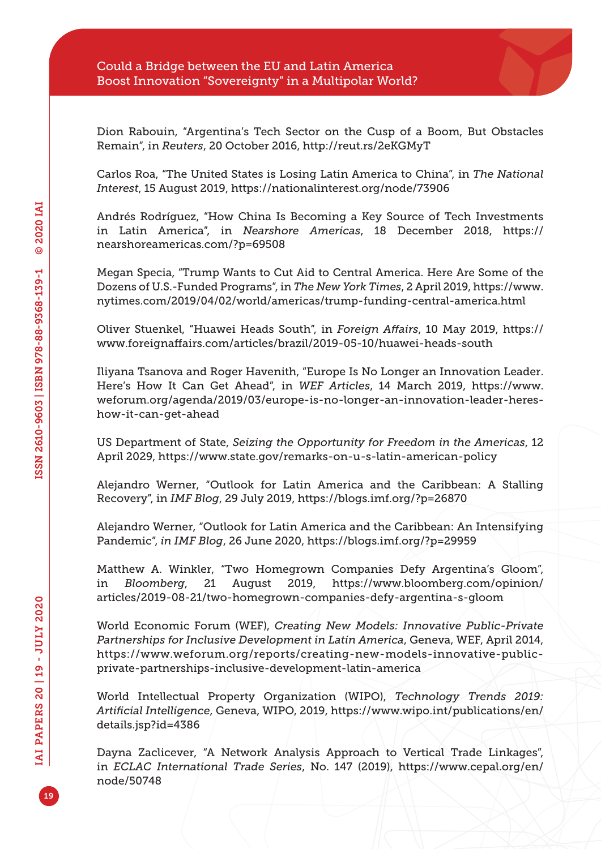Dion Rabouin, "Argentina's Tech Sector on the Cusp of a Boom, But Obstacles Remain", in *Reuters*, 20 October 2016,<http://reut.rs/2eKGMyT>

Carlos Roa, "The United States is Losing Latin America to China", in *The National Interest*, 15 August 2019,<https://nationalinterest.org/node/73906>

Andrés Rodríguez, "How China Is Becoming a Key Source of Tech Investments in Latin America", in *Nearshore Americas*, 18 December 2018, [https://](https://nearshoreamericas.com/?p=69508) [nearshoreamericas.com/?p=69508](https://nearshoreamericas.com/?p=69508)

Megan Specia, "Trump Wants to Cut Aid to Central America. Here Are Some of the Dozens of U.S.-Funded Programs", in *The New York Times*, 2 April 2019, [https://www.](https://www.nytimes.com/2019/04/02/world/americas/trump-funding-central-america.html) [nytimes.com/2019/04/02/world/americas/trump-funding-central-america.html](https://www.nytimes.com/2019/04/02/world/americas/trump-funding-central-america.html)

Oliver Stuenkel, "Huawei Heads South", in *Foreign Affairs*, 10 May 2019, [https://](https://www.foreignaffairs.com/articles/brazil/2019-05-10/huawei-heads-south) [www.foreignaffairs.com/articles/brazil/2019-05-10/huawei-heads-south](https://www.foreignaffairs.com/articles/brazil/2019-05-10/huawei-heads-south)

Iliyana Tsanova and Roger Havenith, "Europe Is No Longer an Innovation Leader. Here's How It Can Get Ahead", in *WEF Articles*, 14 March 2019, [https://www.](https://www.weforum.org/agenda/2019/03/europe-is-no-longer-an-innovation-leader-heres-how-it-can-get-ahead) [weforum.org/agenda/2019/03/europe-is-no-longer-an-innovation-leader-heres](https://www.weforum.org/agenda/2019/03/europe-is-no-longer-an-innovation-leader-heres-how-it-can-get-ahead)[how-it-can-get-ahead](https://www.weforum.org/agenda/2019/03/europe-is-no-longer-an-innovation-leader-heres-how-it-can-get-ahead)

US Department of State, *Seizing the Opportunity for Freedom in the Americas*, 12 April 2029, <https://www.state.gov/remarks-on-u-s-latin-american-policy>

Alejandro Werner, "Outlook for Latin America and the Caribbean: A Stalling Recovery", in *IMF Blog*, 29 July 2019, <https://blogs.imf.org/?p=26870>

Alejandro Werner, "Outlook for Latin America and the Caribbean: An Intensifying Pandemic", *in IMF Blog*, 26 June 2020,<https://blogs.imf.org/?p=29959>

Matthew A. Winkler, "Two Homegrown Companies Defy Argentina's Gloom", in *Bloomberg*, 21 August 2019, [https://www.bloomberg.com/opinion/](https://www.bloomberg.com/opinion/articles/2019-08-21/two-homegrown-companies-defy-argentina-s-gloom) [articles/2019-08-21/two-homegrown-companies-defy-argentina-s-gloom](https://www.bloomberg.com/opinion/articles/2019-08-21/two-homegrown-companies-defy-argentina-s-gloom)

World Economic Forum (WEF), *Creating New Models: Innovative Public-Private Partnerships for Inclusive Development in Latin America*, Geneva, WEF, April 2014, [https://www.weforum.org/reports/creating-new-models-innovative-public](https://www.weforum.org/reports/creating-new-models-innovative-public-private-partnerships-inclusive-development-latin-america)[private-partnerships-inclusive-development-latin-america](https://www.weforum.org/reports/creating-new-models-innovative-public-private-partnerships-inclusive-development-latin-america)

World Intellectual Property Organization (WIPO), *Technology Trends 2019: Artificial Intelligence*, Geneva, WIPO, 2019, [https://www.wipo.int/publications/en/](https://www.wipo.int/publications/en/details.jsp?id=4386) [details.jsp?id=4386](https://www.wipo.int/publications/en/details.jsp?id=4386)

Dayna Zaclicever, "A Network Analysis Approach to Vertical Trade Linkages", in *ECLAC International Trade Series*, No. 147 (2019), [https://www.cepal.org/en/](https://www.cepal.org/en/node/50748) [node/50748](https://www.cepal.org/en/node/50748)